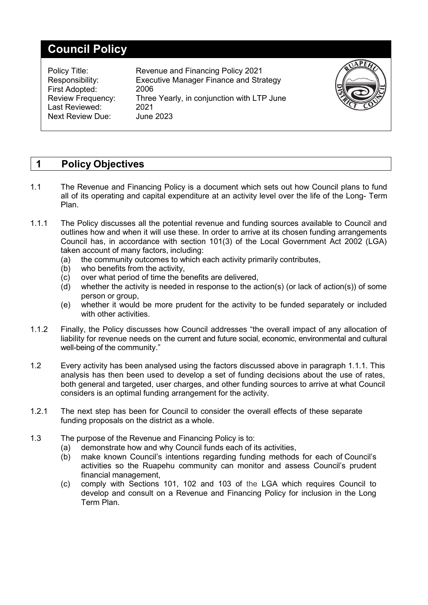# **Council Policy**

| Policy Title:<br>Responsibility:<br>First Adopted:<br><b>Review Frequency:</b><br>Last Reviewed:<br><b>Next Review Due:</b> | Revenue and Financing Policy 2021<br><b>Executive Manager Finance and Strategy</b><br>2006<br>Three Yearly, in conjunction with LTP June<br>2021<br><b>June 2023</b> |  |
|-----------------------------------------------------------------------------------------------------------------------------|----------------------------------------------------------------------------------------------------------------------------------------------------------------------|--|
|                                                                                                                             |                                                                                                                                                                      |  |

# **1 Policy Objectives**

- 1.1 The Revenue and Financing Policy is a document which sets out how Council plans to fund all of its operating and capital expenditure at an activity level over the life of the Long- Term Plan.
- 1.1.1 The Policy discusses all the potential revenue and funding sources available to Council and outlines how and when it will use these. In order to arrive at its chosen funding arrangements Council has, in accordance with section 101(3) of the Local Government Act 2002 (LGA) taken account of many factors, including:
	- (a) the community outcomes to which each activity primarily contributes,
	- (b) who benefits from the activity,
	- (c) over what period of time the benefits are delivered,
	- (d) whether the activity is needed in response to the action(s) (or lack of action(s)) of some person or group.
	- (e) whether it would be more prudent for the activity to be funded separately or included with other activities.
- 1.1.2 Finally, the Policy discusses how Council addresses "the overall impact of any allocation of liability for revenue needs on the current and future social, economic, environmental and cultural well-being of the community."
- 1.2 Every activity has been analysed using the factors discussed above in paragraph 1.1.1. This analysis has then been used to develop a set of funding decisions about the use of rates, both general and targeted, user charges, and other funding sources to arrive at what Council considers is an optimal funding arrangement for the activity.
- 1.2.1 The next step has been for Council to consider the overall effects of these separate funding proposals on the district as a whole.
- 1.3 The purpose of the Revenue and Financing Policy is to:
	- (a) demonstrate how and why Council funds each of its activities,
	- (b) make known Council's intentions regarding funding methods for each of Council's activities so the Ruapehu community can monitor and assess Council's prudent financial management,
	- (c) comply with Sections 101, 102 and 103 of the LGA which requires Council to develop and consult on a Revenue and Financing Policy for inclusion in the Long Term Plan.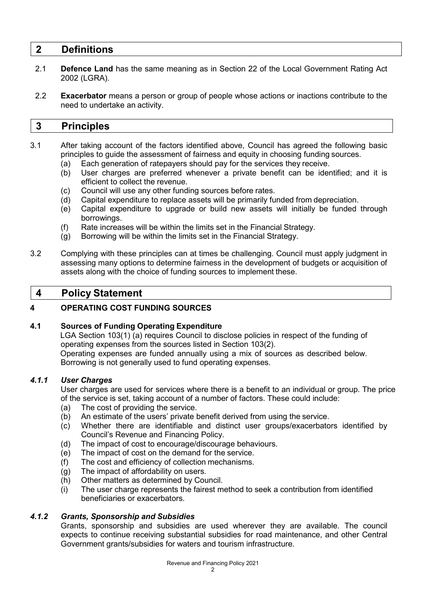# **2 Definitions**

- 2.1 **Defence Land** has the same meaning as in Section 22 of the Local Government Rating Act 2002 (LGRA).
- 2.2 **Exacerbator** means a person or group of people whose actions or inactions contribute to the need to undertake an activity.

# **3 Principles**

- 3.1 After taking account of the factors identified above, Council has agreed the following basic principles to guide the assessment of fairness and equity in choosing funding sources.
	- (a) Each generation of ratepayers should pay for the services they receive.<br>(b) User charges are preferred whenever a private benefit can be ider
	- User charges are preferred whenever a private benefit can be identified; and it is efficient to collect the revenue.
	- (c) Council will use any other funding sources before rates.<br>(d) Capital expenditure to replace assets will be primarily fu
	- Capital expenditure to replace assets will be primarily funded from depreciation.
	- (e) Capital expenditure to upgrade or build new assets will initially be funded through borrowings.
	- (f) Rate increases will be within the limits set in the Financial Strategy.
	- (g) Borrowing will be within the limits set in the Financial Strategy.
- 3.2 Complying with these principles can at times be challenging. Council must apply judgment in assessing many options to determine fairness in the development of budgets or acquisition of assets along with the choice of funding sources to implement these.

# **4 Policy Statement**

# **4 OPERATING COST FUNDING SOURCES**

# **4.1 Sources of Funding Operating Expenditure**

LGA Section 103(1) (a) requires Council to disclose policies in respect of the funding of operating expenses from the sources listed in Section 103(2).

Operating expenses are funded annually using a mix of sources as described below. Borrowing is not generally used to fund operating expenses.

# *4.1.1 User Charges*

User charges are used for services where there is a benefit to an individual or group. The price of the service is set, taking account of a number of factors. These could include:

- (a) The cost of providing the service.
- (b) An estimate of the users' private benefit derived from using the service.
- (c) Whether there are identifiable and distinct user groups/exacerbators identified by Council's Revenue and Financing Policy.
- (d) The impact of cost to encourage/discourage behaviours.<br>(e) The impact of cost on the demand for the service.
- The impact of cost on the demand for the service.
- (f) The cost and efficiency of collection mechanisms.
- (g) The impact of affordability on users.
- (h) Other matters as determined by Council.
- (i) The user charge represents the fairest method to seek a contribution from identified beneficiaries or exacerbators.

# *4.1.2 Grants, Sponsorship and Subsidies*

Grants, sponsorship and subsidies are used wherever they are available. The council expects to continue receiving substantial subsidies for road maintenance, and other Central Government grants/subsidies for waters and tourism infrastructure.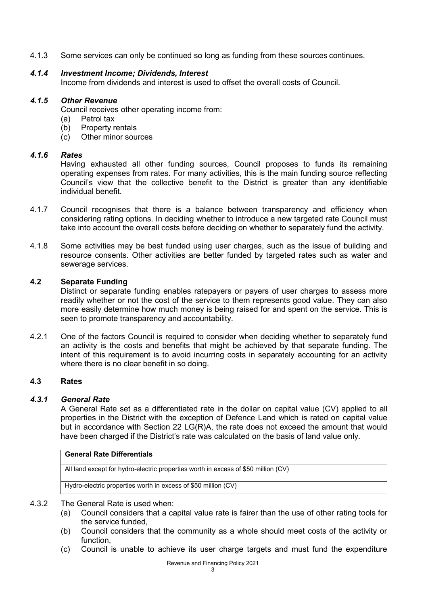4.1.3 Some services can only be continued so long as funding from these sources continues.

# *4.1.4 Investment Income; Dividends, Interest*

Income from dividends and interest is used to offset the overall costs of Council.

# *4.1.5 Other Revenue*

Council receives other operating income from:

- (a) Petrol tax<br>(b) Property re
- Property rentals
- (c) Other minor sources

#### *4.1.6 Rates*

Having exhausted all other funding sources, Council proposes to funds its remaining operating expenses from rates. For many activities, this is the main funding source reflecting Council's view that the collective benefit to the District is greater than any identifiable individual benefit.

- 4.1.7 Council recognises that there is a balance between transparency and efficiency when considering rating options. In deciding whether to introduce a new targeted rate Council must take into account the overall costs before deciding on whether to separately fund the activity.
- 4.1.8 Some activities may be best funded using user charges, such as the issue of building and resource consents. Other activities are better funded by targeted rates such as water and sewerage services.

# **4.2 Separate Funding**

Distinct or separate funding enables ratepayers or payers of user charges to assess more readily whether or not the cost of the service to them represents good value. They can also more easily determine how much money is being raised for and spent on the service. This is seen to promote transparency and accountability.

4.2.1 One of the factors Council is required to consider when deciding whether to separately fund an activity is the costs and benefits that might be achieved by that separate funding. The intent of this requirement is to avoid incurring costs in separately accounting for an activity where there is no clear benefit in so doing.

#### **4.3 Rates**

#### *4.3.1 General Rate*

A General Rate set as a differentiated rate in the dollar on capital value (CV) applied to all properties in the District with the exception of Defence Land which is rated on capital value but in accordance with Section 22 LG(R)A, the rate does not exceed the amount that would have been charged if the District's rate was calculated on the basis of land value only.

# **General Rate Differentials**

All land except for hydro-electric properties worth in excess of \$50 million (CV)

Hydro-electric properties worth in excess of \$50 million (CV)

#### 4.3.2 The General Rate is used when:

- (a) Council considers that a capital value rate is fairer than the use of other rating tools for the service funded,
- (b) Council considers that the community as a whole should meet costs of the activity or function,
- (c) Council is unable to achieve its user charge targets and must fund the expenditure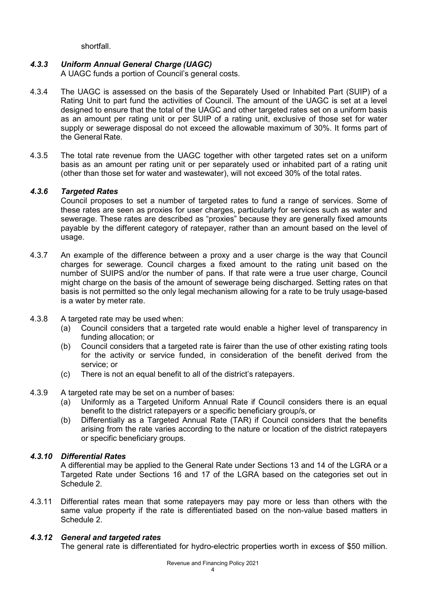shortfall.

# *4.3.3 Uniform Annual General Charge (UAGC)*

A UAGC funds a portion of Council's general costs.

- 4.3.4 The UAGC is assessed on the basis of the Separately Used or Inhabited Part (SUIP) of a Rating Unit to part fund the activities of Council. The amount of the UAGC is set at a level designed to ensure that the total of the UAGC and other targeted rates set on a uniform basis as an amount per rating unit or per SUIP of a rating unit, exclusive of those set for water supply or sewerage disposal do not exceed the allowable maximum of 30%. It forms part of the General Rate.
- 4.3.5 The total rate revenue from the UAGC together with other targeted rates set on a uniform basis as an amount per rating unit or per separately used or inhabited part of a rating unit (other than those set for water and wastewater), will not exceed 30% of the total rates.

# *4.3.6 Targeted Rates*

Council proposes to set a number of targeted rates to fund a range of services. Some of these rates are seen as proxies for user charges, particularly for services such as water and sewerage. These rates are described as "proxies" because they are generally fixed amounts payable by the different category of ratepayer, rather than an amount based on the level of usage.

- 4.3.7 An example of the difference between a proxy and a user charge is the way that Council charges for sewerage. Council charges a fixed amount to the rating unit based on the number of SUIPS and/or the number of pans. If that rate were a true user charge, Council might charge on the basis of the amount of sewerage being discharged. Setting rates on that basis is not permitted so the only legal mechanism allowing for a rate to be truly usage-based is a water by meter rate.
- 4.3.8 A targeted rate may be used when:
	- (a) Council considers that a targeted rate would enable a higher level of transparency in funding allocation; or
	- (b) Council considers that a targeted rate is fairer than the use of other existing rating tools for the activity or service funded, in consideration of the benefit derived from the service; or
	- (c) There is not an equal benefit to all of the district's ratepayers.
- 4.3.9 A targeted rate may be set on a number of bases:
	- (a) Uniformly as a Targeted Uniform Annual Rate if Council considers there is an equal benefit to the district ratepayers or a specific beneficiary group/s, or
	- (b) Differentially as a Targeted Annual Rate (TAR) if Council considers that the benefits arising from the rate varies according to the nature or location of the district ratepayers or specific beneficiary groups.

# *4.3.10 Differential Rates*

A differential may be applied to the General Rate under Sections 13 and 14 of the LGRA or a Targeted Rate under Sections 16 and 17 of the LGRA based on the categories set out in Schedule 2.

4.3.11 Differential rates mean that some ratepayers may pay more or less than others with the same value property if the rate is differentiated based on the non-value based matters in Schedule 2.

# *4.3.12 General and targeted rates*

The general rate is differentiated for hydro-electric properties worth in excess of \$50 million.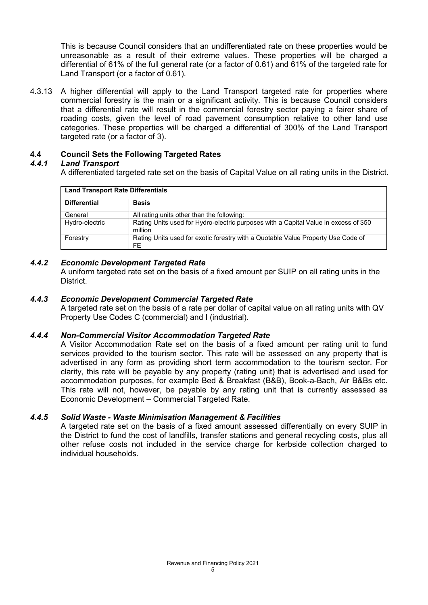This is because Council considers that an undifferentiated rate on these properties would be unreasonable as a result of their extreme values. These properties will be charged a differential of 61% of the full general rate (or a factor of 0.61) and 61% of the targeted rate for Land Transport (or a factor of 0.61).

4.3.13 A higher differential will apply to the Land Transport targeted rate for properties where commercial forestry is the main or a significant activity. This is because Council considers that a differential rate will result in the commercial forestry sector paying a fairer share of roading costs, given the level of road pavement consumption relative to other land use categories. These properties will be charged a differential of 300% of the Land Transport targeted rate (or a factor of 3).

# **4.4 Council Sets the Following Targeted Rates**

# *4.4.1 Land Transport*

A differentiated targeted rate set on the basis of Capital Value on all rating units in the District.

| <b>Land Transport Rate Differentials</b> |                                                                                                 |  |  |  |  |  |
|------------------------------------------|-------------------------------------------------------------------------------------------------|--|--|--|--|--|
| <b>Differential</b>                      | <b>Basis</b>                                                                                    |  |  |  |  |  |
| General                                  | All rating units other than the following:                                                      |  |  |  |  |  |
| Hydro-electric                           | Rating Units used for Hydro-electric purposes with a Capital Value in excess of \$50<br>million |  |  |  |  |  |
| Forestry                                 | Rating Units used for exotic forestry with a Quotable Value Property Use Code of<br>FF          |  |  |  |  |  |

# *4.4.2 Economic Development Targeted Rate*

A uniform targeted rate set on the basis of a fixed amount per SUIP on all rating units in the District.

# *4.4.3 Economic Development Commercial Targeted Rate*

A targeted rate set on the basis of a rate per dollar of capital value on all rating units with QV Property Use Codes C (commercial) and I (industrial).

# *4.4.4 Non-Commercial Visitor Accommodation Targeted Rate*

A Visitor Accommodation Rate set on the basis of a fixed amount per rating unit to fund services provided to the tourism sector. This rate will be assessed on any property that is advertised in any form as providing short term accommodation to the tourism sector. For clarity, this rate will be payable by any property (rating unit) that is advertised and used for accommodation purposes, for example Bed & Breakfast (B&B), Book-a-Bach, Air B&Bs etc. This rate will not, however, be payable by any rating unit that is currently assessed as Economic Development – Commercial Targeted Rate.

# *4.4.5 Solid Waste - Waste Minimisation Management & Facilities*

A targeted rate set on the basis of a fixed amount assessed differentially on every SUIP in the District to fund the cost of landfills, transfer stations and general recycling costs, plus all other refuse costs not included in the service charge for kerbside collection charged to individual households.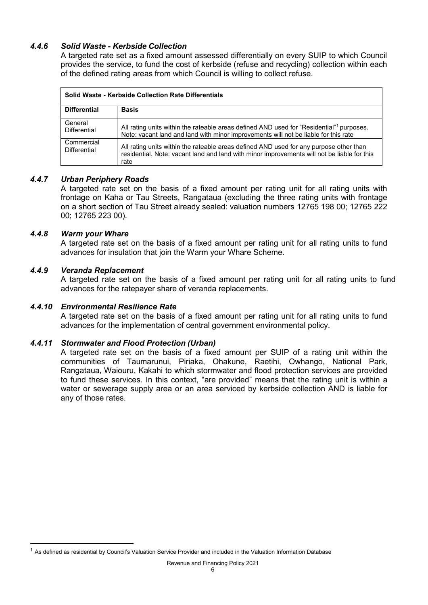# *4.4.6 Solid Waste - Kerbside Collection*

A targeted rate set as a fixed amount assessed differentially on every SUIP to which Council provides the service, to fund the cost of kerbside (refuse and recycling) collection within each of the defined rating areas from which Council is willing to collect refuse.

| Solid Waste - Kerbside Collection Rate Differentials |                                                                                                                                                                                               |  |  |  |  |  |  |
|------------------------------------------------------|-----------------------------------------------------------------------------------------------------------------------------------------------------------------------------------------------|--|--|--|--|--|--|
| <b>Differential</b>                                  | <b>Basis</b>                                                                                                                                                                                  |  |  |  |  |  |  |
| General<br><b>Differential</b>                       | All rating units within the rateable areas defined AND used for "Residential" purposes.<br>Note: vacant land and land with minor improvements will not be liable for this rate                |  |  |  |  |  |  |
| Commercial<br>Differential                           | All rating units within the rateable areas defined AND used for any purpose other than<br>residential. Note: vacant land and land with minor improvements will not be liable for this<br>rate |  |  |  |  |  |  |

# *4.4.7 Urban Periphery Roads*

A targeted rate set on the basis of a fixed amount per rating unit for all rating units with frontage on Kaha or Tau Streets, Rangataua (excluding the three rating units with frontage on a short section of Tau Street already sealed: valuation numbers 12765 198 00; 12765 222 00; 12765 223 00).

#### *4.4.8 Warm your Whare*

A targeted rate set on the basis of a fixed amount per rating unit for all rating units to fund advances for insulation that join the Warm your Whare Scheme.

#### *4.4.9 Veranda Replacement*

A targeted rate set on the basis of a fixed amount per rating unit for all rating units to fund advances for the ratepayer share of veranda replacements.

## *4.4.10 Environmental Resilience Rate*

A targeted rate set on the basis of a fixed amount per rating unit for all rating units to fund advances for the implementation of central government environmental policy.

#### *4.4.11 Stormwater and Flood Protection (Urban)*

A targeted rate set on the basis of a fixed amount per SUIP of a rating unit within the communities of Taumarunui, Piriaka, Ohakune, Raetihi, Owhango, National Park, Rangataua, Waiouru, Kakahi to which stormwater and flood protection services are provided to fund these services. In this context, "are provided" means that the rating unit is within a water or sewerage supply area or an area serviced by kerbside collection AND is liable for any of those rates.

<span id="page-5-0"></span> $1$  As defined as residential by Council's Valuation Service Provider and included in the Valuation Information Database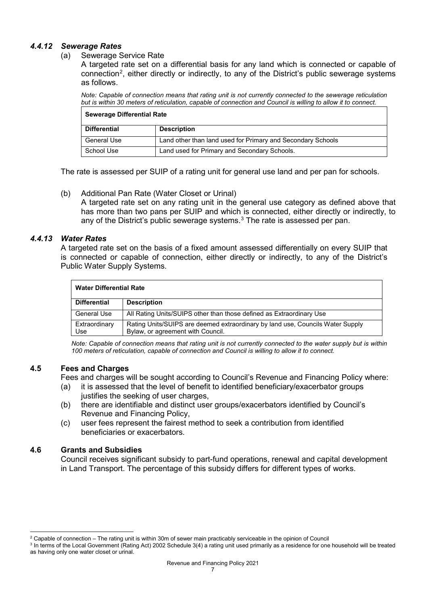# *4.4.12 Sewerage Rates*

#### (a) Sewerage Service Rate

A targeted rate set on a differential basis for any land which is connected or capable of connection<sup>[2](#page-6-0)</sup>, either directly or indirectly, to any of the District's public sewerage systems as follows.

*Note: Capable of connection means that rating unit is not currently connected to the sewerage reticulation but is within 30 meters of reticulation, capable of connection and Council is willing to allow it to connect.*

| <b>Sewerage Differential Rate</b> |                                                             |  |  |  |  |  |
|-----------------------------------|-------------------------------------------------------------|--|--|--|--|--|
| Differential                      | <b>Description</b>                                          |  |  |  |  |  |
| General Use                       | Land other than land used for Primary and Secondary Schools |  |  |  |  |  |
| School Use                        | Land used for Primary and Secondary Schools.                |  |  |  |  |  |

The rate is assessed per SUIP of a rating unit for general use land and per pan for schools.

(b) Additional Pan Rate (Water Closet or Urinal)

A targeted rate set on any rating unit in the general use category as defined above that has more than two pans per SUIP and which is connected, either directly or indirectly, to any of the District's public sewerage systems. $3$  The rate is assessed per pan.

# *4.4.13 Water Rates*

A targeted rate set on the basis of a fixed amount assessed differentially on every SUIP that is connected or capable of connection, either directly or indirectly, to any of the District's Public Water Supply Systems.

| <b>Water Differential Rate</b> |                                                                                                                     |  |  |  |  |  |
|--------------------------------|---------------------------------------------------------------------------------------------------------------------|--|--|--|--|--|
| <b>Differential</b>            | <b>Description</b>                                                                                                  |  |  |  |  |  |
| General Use                    | All Rating Units/SUIPS other than those defined as Extraordinary Use                                                |  |  |  |  |  |
| Extraordinary<br>Use           | Rating Units/SUIPS are deemed extraordinary by land use, Councils Water Supply<br>Bylaw, or agreement with Council. |  |  |  |  |  |

*Note: Capable of connection means that rating unit is not currently connected to the water supply but is within 100 meters of reticulation, capable of connection and Council is willing to allow it to connect.*

# **4.5 Fees and Charges**

Fees and charges will be sought according to Council's Revenue and Financing Policy where:

- (a) it is assessed that the level of benefit to identified beneficiary/exacerbator groups justifies the seeking of user charges,
- (b) there are identifiable and distinct user groups/exacerbators identified by Council's Revenue and Financing Policy,
- (c) user fees represent the fairest method to seek a contribution from identified beneficiaries or exacerbators.

# **4.6 Grants and Subsidies**

Council receives significant subsidy to part-fund operations, renewal and capital development in Land Transport. The percentage of this subsidy differs for different types of works.

<span id="page-6-0"></span> $2$  Capable of connection – The rating unit is within 30m of sewer main practicably serviceable in the opinion of Council

<span id="page-6-1"></span><sup>&</sup>lt;sup>3</sup> In terms of the Local Government (Rating Act) 2002 Schedule 3(4) a rating unit used primarily as a residence for one household will be treated as having only one water closet or urinal.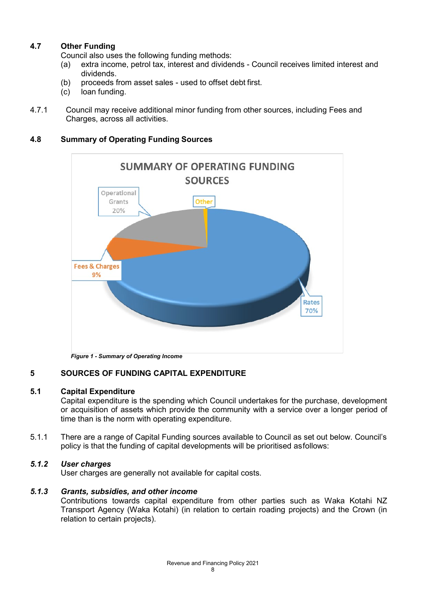# **4.7 Other Funding**

Council also uses the following funding methods:

- (a) extra income, petrol tax, interest and dividends Council receives limited interest and dividends.
- (b) proceeds from asset sales used to offset debt first.<br>(c)  $\log$  loan funding.
- loan funding.
- 4.7.1 Council may receive additional minor funding from other sources, including Fees and Charges, across all activities.

# **4.8 Summary of Operating Funding Sources**



*Figure 1 - Summary of Operating Income*

# **5 SOURCES OF FUNDING CAPITAL EXPENDITURE**

# **5.1 Capital Expenditure**

Capital expenditure is the spending which Council undertakes for the purchase, development or acquisition of assets which provide the community with a service over a longer period of time than is the norm with operating expenditure.

5.1.1 There are a range of Capital Funding sources available to Council as set out below. Council's policy is that the funding of capital developments will be prioritised asfollows:

# *5.1.2 User charges*

User charges are generally not available for capital costs.

# *5.1.3 Grants, subsidies, and other income*

Contributions towards capital expenditure from other parties such as Waka Kotahi NZ Transport Agency (Waka Kotahi) (in relation to certain roading projects) and the Crown (in relation to certain projects).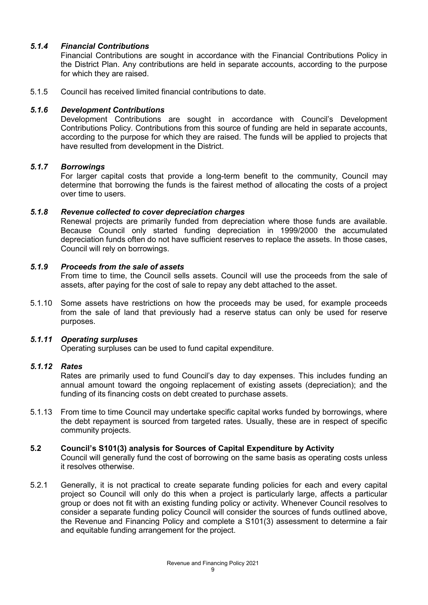# *5.1.4 Financial Contributions*

Financial Contributions are sought in accordance with the Financial Contributions Policy in the District Plan. Any contributions are held in separate accounts, according to the purpose for which they are raised.

5.1.5 Council has received limited financial contributions to date.

# *5.1.6 Development Contributions*

Development Contributions are sought in accordance with Council's Development Contributions Policy. Contributions from this source of funding are held in separate accounts, according to the purpose for which they are raised. The funds will be applied to projects that have resulted from development in the District.

#### *5.1.7 Borrowings*

For larger capital costs that provide a long-term benefit to the community, Council may determine that borrowing the funds is the fairest method of allocating the costs of a project over time to users.

#### *5.1.8 Revenue collected to cover depreciation charges*

Renewal projects are primarily funded from depreciation where those funds are available. Because Council only started funding depreciation in 1999/2000 the accumulated depreciation funds often do not have sufficient reserves to replace the assets. In those cases, Council will rely on borrowings.

#### *5.1.9 Proceeds from the sale of assets*

From time to time, the Council sells assets. Council will use the proceeds from the sale of assets, after paying for the cost of sale to repay any debt attached to the asset.

5.1.10 Some assets have restrictions on how the proceeds may be used, for example proceeds from the sale of land that previously had a reserve status can only be used for reserve purposes.

# *5.1.11 Operating surpluses*

Operating surpluses can be used to fund capital expenditure.

# *5.1.12 Rates*

Rates are primarily used to fund Council's day to day expenses. This includes funding an annual amount toward the ongoing replacement of existing assets (depreciation); and the funding of its financing costs on debt created to purchase assets.

5.1.13 From time to time Council may undertake specific capital works funded by borrowings, where the debt repayment is sourced from targeted rates. Usually, these are in respect of specific community projects.

# **5.2 Council's S101(3) analysis for Sources of Capital Expenditure by Activity**

Council will generally fund the cost of borrowing on the same basis as operating costs unless it resolves otherwise.

5.2.1 Generally, it is not practical to create separate funding policies for each and every capital project so Council will only do this when a project is particularly large, affects a particular group or does not fit with an existing funding policy or activity. Whenever Council resolves to consider a separate funding policy Council will consider the sources of funds outlined above, the Revenue and Financing Policy and complete a S101(3) assessment to determine a fair and equitable funding arrangement for the project.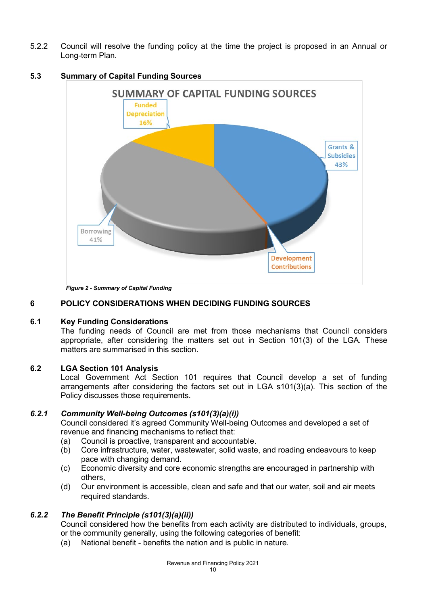5.2.2 Council will resolve the funding policy at the time the project is proposed in an Annual or Long-term Plan.



# **5.3 Summary of Capital Funding Sources**

*Figure 2 - Summary of Capital Funding*

# **6 POLICY CONSIDERATIONS WHEN DECIDING FUNDING SOURCES**

# **6.1 Key Funding Considerations**

The funding needs of Council are met from those mechanisms that Council considers appropriate, after considering the matters set out in Section 101(3) of the LGA. These matters are summarised in this section.

# **6.2 LGA Section 101 Analysis**

Local Government Act Section 101 requires that Council develop a set of funding arrangements after considering the factors set out in LGA s101(3)(a). This section of the Policy discusses those requirements.

# *6.2.1 Community Well-being Outcomes (s101(3)(a)(i))*

Council considered it's agreed Community Well-being Outcomes and developed a set of revenue and financing mechanisms to reflect that:

- (a) Council is proactive, transparent and accountable.
- (b) Core infrastructure, water, wastewater, solid waste, and roading endeavours to keep pace with changing demand.
- (c) Economic diversity and core economic strengths are encouraged in partnership with others,
- (d) Our environment is accessible, clean and safe and that our water, soil and air meets required standards.

# *6.2.2 The Benefit Principle (s101(3)(a)(ii))*

Council considered how the benefits from each activity are distributed to individuals, groups, or the community generally, using the following categories of benefit:

(a) National benefit - benefits the nation and is public in nature.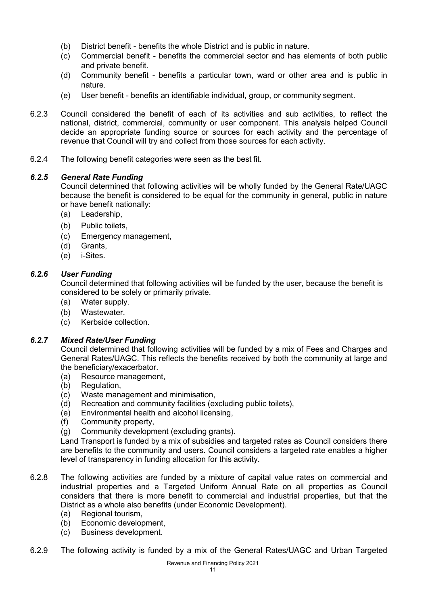- (b) District benefit benefits the whole District and is public in nature.
- (c) Commercial benefit benefits the commercial sector and has elements of both public and private benefit.
- (d) Community benefit benefits a particular town, ward or other area and is public in nature.
- (e) User benefit benefits an identifiable individual, group, or community segment.
- 6.2.3 Council considered the benefit of each of its activities and sub activities, to reflect the national, district, commercial, community or user component. This analysis helped Council decide an appropriate funding source or sources for each activity and the percentage of revenue that Council will try and collect from those sources for each activity.
- 6.2.4 The following benefit categories were seen as the best fit.

# *6.2.5 General Rate Funding*

Council determined that following activities will be wholly funded by the General Rate/UAGC because the benefit is considered to be equal for the community in general, public in nature or have benefit nationally:

- (a) Leadership,
- (b) Public toilets,
- (c) Emergency management,
- (d) Grants,
- (e) i-Sites.

# *6.2.6 User Funding*

Council determined that following activities will be funded by the user, because the benefit is considered to be solely or primarily private.

- (a) Water supply.
- (b) Wastewater.
- (c) Kerbside collection.

# *6.2.7 Mixed Rate/User Funding*

Council determined that following activities will be funded by a mix of Fees and Charges and General Rates/UAGC. This reflects the benefits received by both the community at large and the beneficiary/exacerbator.

- (a) Resource management,
- (b) Regulation,
- (c) Waste management and minimisation,
- (d) Recreation and community facilities (excluding public toilets),
- (e) Environmental health and alcohol licensing,
- (f) Community property,
- (g) Community development (excluding grants).

Land Transport is funded by a mix of subsidies and targeted rates as Council considers there are benefits to the community and users. Council considers a targeted rate enables a higher level of transparency in funding allocation for this activity.

- 6.2.8 The following activities are funded by a mixture of capital value rates on commercial and industrial properties and a Targeted Uniform Annual Rate on all properties as Council considers that there is more benefit to commercial and industrial properties, but that the District as a whole also benefits (under Economic Development).
	- (a) Regional tourism,
	- (b) Economic development,
	- (c) Business development.
- 6.2.9 The following activity is funded by a mix of the General Rates/UAGC and Urban Targeted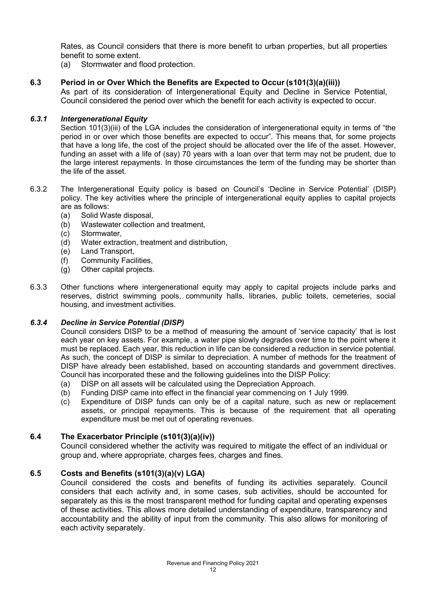Rates, as Council considers that there is more benefit to urban properties, but all properties benefit to some extent.

(a) Stormwater and flood protection.

# **6.3 Period in or Over Which the Benefits are Expected to Occur (s101(3)(a)(iii))**

As part of its consideration of Intergenerational Equity and Decline in Service Potential, Council considered the period over which the benefit for each activity is expected to occur.

## *6.3.1 Intergenerational Equity*

Section 101(3)(iii) of the LGA includes the consideration of intergenerational equity in terms of "the period in or over which those benefits are expected to occur". This means that, for some projects that have a long life, the cost of the project should be allocated over the life of the asset. However, funding an asset with a life of (say) 70 years with a loan over that term may not be prudent, due to the large interest repayments. In those circumstances the term of the funding may be shorter than the life of the asset.

- 6.3.2 The Intergenerational Equity policy is based on Council's 'Decline in Service Potential' (DISP) policy. The key activities where the principle of intergenerational equity applies to capital projects are as follows:
	- (a) Solid Waste disposal,
	- Wastewater collection and treatment,
	- (c) Stormwater,
	- (d) Water extraction, treatment and distribution,
	- (e) Land Transport,
	- (f) Community Facilities,
	- (g) Other capital projects.
- 6.3.3 Other functions where intergenerational equity may apply to capital projects include parks and reserves, district swimming pools, community halls, libraries, public toilets, cemeteries, social housing, and investment activities.

# *6.3.4 Decline in Service Potential (DISP)*

Council considers DISP to be a method of measuring the amount of 'service capacity' that is lost each year on key assets. For example, a water pipe slowly degrades over time to the point where it must be replaced. Each year, this reduction in life can be considered a reduction in service potential. As such, the concept of DISP is similar to depreciation. A number of methods for the treatment of DISP have already been established, based on accounting standards and government directives. Council has incorporated these and the following guidelines into the DISP Policy:

- (a) DISP on all assets will be calculated using the Depreciation Approach.
- (b) Funding DISP came into effect in the financial year commencing on 1 July 1999.
- (c) Expenditure of DISP funds can only be of a capital nature, such as new or replacement assets, or principal repayments. This is because of the requirement that all operating expenditure must be met out of operating revenues.

# **6.4 The Exacerbator Principle (s101(3)(a)(iv))**

Council considered whether the activity was required to mitigate the effect of an individual or group and, where appropriate, charges fees, charges and fines.

# **6.5 Costs and Benefits (s101(3)(a)(v) LGA)**

Council considered the costs and benefits of funding its activities separately. Council considers that each activity and, in some cases, sub activities, should be accounted for separately as this is the most transparent method for funding capital and operating expenses of these activities. This allows more detailed understanding of expenditure, transparency and accountability and the ability of input from the community. This also allows for monitoring of each activity separately.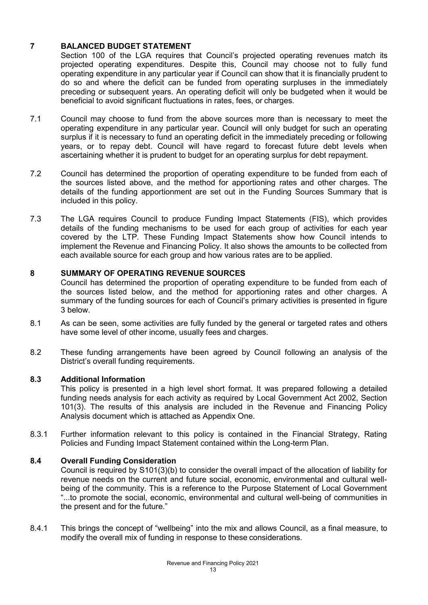# **7 BALANCED BUDGET STATEMENT**

Section 100 of the LGA requires that Council's projected operating revenues match its projected operating expenditures. Despite this, Council may choose not to fully fund operating expenditure in any particular year if Council can show that it is financially prudent to do so and where the deficit can be funded from operating surpluses in the immediately preceding or subsequent years. An operating deficit will only be budgeted when it would be beneficial to avoid significant fluctuations in rates, fees, or charges.

- 7.1 Council may choose to fund from the above sources more than is necessary to meet the operating expenditure in any particular year. Council will only budget for such an operating surplus if it is necessary to fund an operating deficit in the immediately preceding or following years, or to repay debt. Council will have regard to forecast future debt levels when ascertaining whether it is prudent to budget for an operating surplus for debt repayment.
- 7.2 Council has determined the proportion of operating expenditure to be funded from each of the sources listed above, and the method for apportioning rates and other charges. The details of the funding apportionment are set out in the Funding Sources Summary that is included in this policy.
- 7.3 The LGA requires Council to produce Funding Impact Statements (FIS), which provides details of the funding mechanisms to be used for each group of activities for each year covered by the LTP. These Funding Impact Statements show how Council intends to implement the Revenue and Financing Policy. It also shows the amounts to be collected from each available source for each group and how various rates are to be applied.

# **8 SUMMARY OF OPERATING REVENUE SOURCES**

Council has determined the proportion of operating expenditure to be funded from each of the sources listed below, and the method for apportioning rates and other charges. A summary of the funding sources for each of Council's primary activities is presented in figure 3 below.

- 8.1 As can be seen, some activities are fully funded by the general or targeted rates and others have some level of other income, usually fees and charges.
- 8.2 These funding arrangements have been agreed by Council following an analysis of the District's overall funding requirements.

# **8.3 Additional Information**

This policy is presented in a high level short format. It was prepared following a detailed funding needs analysis for each activity as required by Local Government Act 2002, Section 101(3). The results of this analysis are included in the Revenue and Financing Policy Analysis document which is attached as Appendix One.

8.3.1 Further information relevant to this policy is contained in the Financial Strategy, Rating Policies and Funding Impact Statement contained within the Long-term Plan.

# **8.4 Overall Funding Consideration**

Council is required by S101(3)(b) to consider the overall impact of the allocation of liability for revenue needs on the current and future social, economic, environmental and cultural wellbeing of the community. This is a reference to the Purpose Statement of Local Government "...to promote the social, economic, environmental and cultural well-being of communities in the present and for the future."

8.4.1 This brings the concept of "wellbeing" into the mix and allows Council, as a final measure, to modify the overall mix of funding in response to these considerations.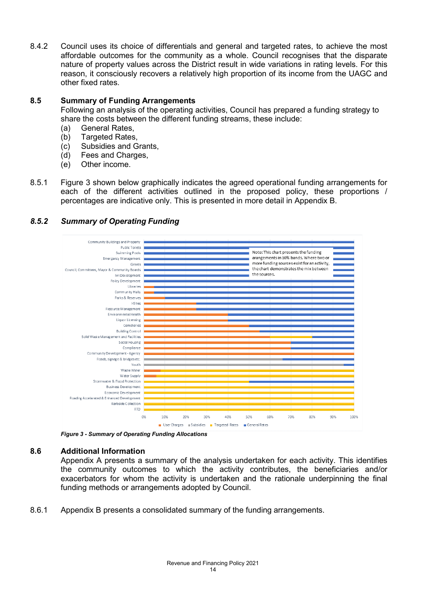8.4.2 Council uses its choice of differentials and general and targeted rates, to achieve the most affordable outcomes for the community as a whole. Council recognises that the disparate nature of property values across the District result in wide variations in rating levels. For this reason, it consciously recovers a relatively high proportion of its income from the UAGC and other fixed rates.

## **8.5 Summary of Funding Arrangements**

Following an analysis of the operating activities, Council has prepared a funding strategy to share the costs between the different funding streams, these include:

- (a) General Rates,
- (b) Targeted Rates,<br>(c) Subsidies and C
- Subsidies and Grants,
- (d) Fees and Charges,
- (e) Other income.
- 8.5.1 Figure 3 shown below graphically indicates the agreed operational funding arrangements for each of the different activities outlined in the proposed policy, these proportions / percentages are indicative only. This is presented in more detail in Appendix B.



# *8.5.2 Summary of Operating Funding*

*Figure 3 - Summary of Operating Funding Allocations*

#### **8.6 Additional Information**

Appendix A presents a summary of the analysis undertaken for each activity. This identifies the community outcomes to which the activity contributes, the beneficiaries and/or exacerbators for whom the activity is undertaken and the rationale underpinning the final funding methods or arrangements adopted by Council.

8.6.1 Appendix B presents a consolidated summary of the funding arrangements.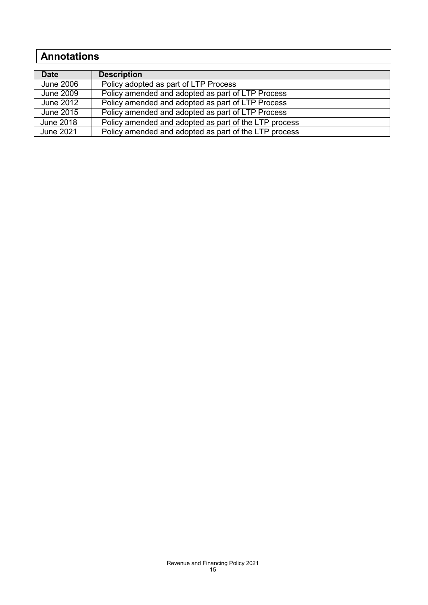# **Annotations**

| <b>Date</b>      | <b>Description</b>                                    |
|------------------|-------------------------------------------------------|
| <b>June 2006</b> | Policy adopted as part of LTP Process                 |
| <b>June 2009</b> | Policy amended and adopted as part of LTP Process     |
| June 2012        | Policy amended and adopted as part of LTP Process     |
| June 2015        | Policy amended and adopted as part of LTP Process     |
| <b>June 2018</b> | Policy amended and adopted as part of the LTP process |
| <b>June 2021</b> | Policy amended and adopted as part of the LTP process |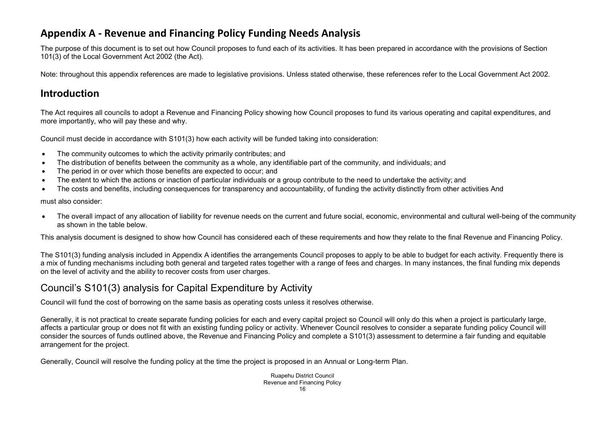# **Appendix A - Revenue and Financing Policy Funding Needs Analysis**

The purpose of this document is to set out how Council proposes to fund each of its activities. It has been prepared in accordance with the provisions of Section 101(3) of the Local Government Act 2002 (the Act).

Note: throughout this appendix references are made to legislative provisions. Unless stated otherwise, these references refer to the Local Government Act 2002.

# **Introduction**

The Act requires all councils to adopt a Revenue and Financing Policy showing how Council proposes to fund its various operating and capital expenditures, and more importantly, who will pay these and why.

Council must decide in accordance with S101(3) how each activity will be funded taking into consideration:

- The community outcomes to which the activity primarily contributes; and
- The distribution of benefits between the community as a whole, any identifiable part of the community, and individuals; and
- The period in or over which those benefits are expected to occur; and
- The extent to which the actions or inaction of particular individuals or a group contribute to the need to undertake the activity; and
- The costs and benefits, including consequences for transparency and accountability, of funding the activity distinctly from other activities And

must also consider:

• The overall impact of any allocation of liability for revenue needs on the current and future social, economic, environmental and cultural well-being of the community as shown in the table below.

This analysis document is designed to show how Council has considered each of these requirements and how they relate to the final Revenue and Financing Policy.

The S101(3) funding analysis included in Appendix A identifies the arrangements Council proposes to apply to be able to budget for each activity. Frequently there is a mix of funding mechanisms including both general and targeted rates together with a range of fees and charges. In many instances, the final funding mix depends on the level of activity and the ability to recover costs from user charges.

# Council's S101(3) analysis for Capital Expenditure by Activity

Council will fund the cost of borrowing on the same basis as operating costs unless it resolves otherwise.

Generally, it is not practical to create separate funding policies for each and every capital project so Council will only do this when a project is particularly large, affects a particular group or does not fit with an existing funding policy or activity. Whenever Council resolves to consider a separate funding policy Council will consider the sources of funds outlined above, the Revenue and Financing Policy and complete a S101(3) assessment to determine a fair funding and equitable arrangement for the project.

Generally, Council will resolve the funding policy at the time the project is proposed in an Annual or Long-term Plan.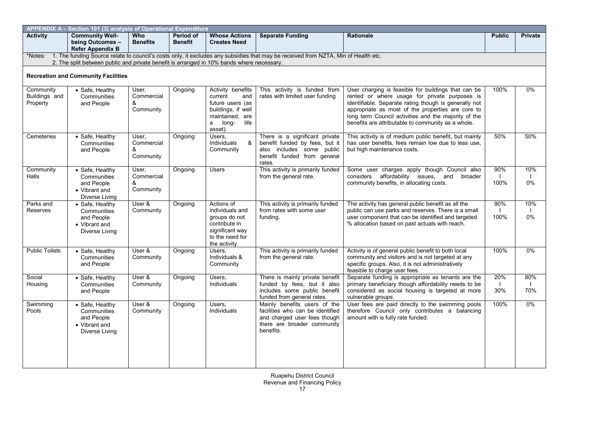| APPENDIX A - Section 101 (3) analysis of Operational Expenditure |                                                                                                                                                                                                                                 |                                       |                             |                                                                                                                                |                                                                                                                                              |                                                                                                                                                                                                                                                                                                                                  |               |                |  |  |
|------------------------------------------------------------------|---------------------------------------------------------------------------------------------------------------------------------------------------------------------------------------------------------------------------------|---------------------------------------|-----------------------------|--------------------------------------------------------------------------------------------------------------------------------|----------------------------------------------------------------------------------------------------------------------------------------------|----------------------------------------------------------------------------------------------------------------------------------------------------------------------------------------------------------------------------------------------------------------------------------------------------------------------------------|---------------|----------------|--|--|
| <b>Activity</b>                                                  | <b>Community Well-</b><br>being Outcomes -<br><b>Refer Appendix B</b>                                                                                                                                                           | <b>Who</b><br><b>Benefits</b>         | Period of<br><b>Benefit</b> | <b>Whose Actions</b><br><b>Creates Need</b>                                                                                    | <b>Separate Funding</b>                                                                                                                      | <b>Rationale</b>                                                                                                                                                                                                                                                                                                                 | <b>Public</b> | <b>Private</b> |  |  |
| *Notes:                                                          | 1. The funding Source relate to council's costs only, it excludes any subsidies that may be received from NZTA, Min of Health etc.<br>2. The split between public and private benefit is arranged in 10% bands where necessary. |                                       |                             |                                                                                                                                |                                                                                                                                              |                                                                                                                                                                                                                                                                                                                                  |               |                |  |  |
|                                                                  | <b>Recreation and Community Facilities</b>                                                                                                                                                                                      |                                       |                             |                                                                                                                                |                                                                                                                                              |                                                                                                                                                                                                                                                                                                                                  |               |                |  |  |
| Community<br>Buildings and<br>Property                           | • Safe, Healthy<br>Communities<br>and People                                                                                                                                                                                    | User,<br>Commercial<br>&<br>Community | Ongoing                     | Activity benefits<br>current<br>and<br>future users (as<br>buildings, if well<br>maintained, are<br>a long-<br>life<br>asset). | This activity is funded from<br>rates with limited user funding                                                                              | User charging is feasible for buildings that can be<br>rented or where usage for private purposes is<br>identifiable. Separate rating though is generally not<br>appropriate as most of the properties are core to<br>long term Council activities and the majority of the<br>benefits are attributable to community as a whole. | 100%          | 0%             |  |  |
| Cemeteries                                                       | • Safe, Healthy<br>Communities<br>and People                                                                                                                                                                                    | User.<br>Commercial<br>&<br>Community | Ongoing                     | Users,<br>Individuals<br>&<br>Community                                                                                        | There is a significant private<br>benefit funded by fees, but it<br>also includes some public<br>benefit funded from general<br>rates.       | This activity is of medium public benefit, but mainly<br>has user benefits, fees remain low due to less use,<br>but high maintenance costs.                                                                                                                                                                                      | 50%           | 50%            |  |  |
| Community<br>Halls                                               | • Safe, Healthy<br>Communities<br>and People<br>• Vibrant and<br>Diverse Living                                                                                                                                                 | User.<br>Commercial<br>&<br>Community | Ongoing                     | <b>Users</b>                                                                                                                   | This activity is primarily funded<br>from the general rate.                                                                                  | Some user charges apply though Council also<br>considers affordability issues, and<br>broader<br>community benefits, in allocating costs.                                                                                                                                                                                        | 90%<br>100%   | 10%<br>0%      |  |  |
| Parks and<br>Reserves                                            | · Safe, Healthy<br>Communities<br>and People<br>• Vibrant and<br>Diverse Living                                                                                                                                                 | User &<br>Community                   | Ongoing                     | Actions of<br>individuals and<br>groups do not<br>contribute in<br>significant way<br>to the need for<br>the activity.         | This activity is primarily funded<br>from rates with some user<br>funding.                                                                   | The activity has general public benefit as all the<br>public can use parks and reserves. There is a small<br>user component that can be identified and targeted.<br>% allocation based on past actuals with reach.                                                                                                               | 90%<br>100%   | 10%<br>0%      |  |  |
| <b>Public Toilets</b>                                            | • Safe, Healthy<br>Communities<br>and People                                                                                                                                                                                    | User &<br>Community                   | Ongoing                     | Users.<br>Individuals &<br>Community                                                                                           | This activity is primarily funded<br>from the general rate.                                                                                  | Activity is of general public benefit to both local<br>community and visitors and is not targeted at any<br>specific groups. Also, it is not administratively<br>feasible to charge user fees.                                                                                                                                   | 100%          | 0%             |  |  |
| Social<br>Housing                                                | • Safe, Healthy<br>Communities<br>and People                                                                                                                                                                                    | User &<br>Community                   | Ongoing                     | Users,<br>Individuals                                                                                                          | There is mainly private benefit<br>funded by fees, but it also<br>includes some public benefit<br>funded from general rates.                 | Separate funding is appropriate as tenants are the<br>primary beneficiary though affordability needs to be<br>considered as social housing is targeted at more<br>vulnerable groups.                                                                                                                                             | 20%<br>30%    | 80%<br>70%     |  |  |
| Swimming<br>Pools                                                | · Safe, Healthy<br>Communities<br>and People<br>• Vibrant and<br>Diverse Living                                                                                                                                                 | User &<br>Community                   | Ongoing                     | Users,<br>Individuals                                                                                                          | Mainly benefits users of the<br>facilities who can be identified<br>and charged user fees though<br>there are broader community<br>benefits. | User fees are paid directly to the swimming pools<br>therefore Council only contributes a balancing<br>amount with is fully rate funded.                                                                                                                                                                                         | 100%          | $0\%$          |  |  |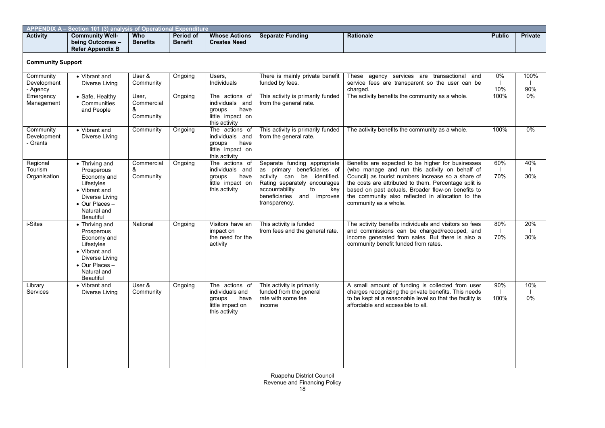| <b>APPENDIX A-</b><br>► Section 101 (3) analysis of Operational Expenditure |                                                                       |                        |                             |                                             |                  |                  |               |                |  |  |  |
|-----------------------------------------------------------------------------|-----------------------------------------------------------------------|------------------------|-----------------------------|---------------------------------------------|------------------|------------------|---------------|----------------|--|--|--|
| <b>Activity</b>                                                             | <b>Community Well-</b><br>being Outcomes -<br><b>Refer Appendix B</b> | Who<br><b>Benefits</b> | Period of<br><b>Benefit</b> | <b>Whose Actions</b><br><b>Creates Need</b> | Separate Funding | <b>Rationale</b> | <b>Public</b> | <b>Private</b> |  |  |  |

#### **Community Support**

| Community<br>Development<br>- Agency | • Vibrant and<br>Diverse Living                                                                                                                   | User &<br>Community                   | Ongoing | Users,<br>Individuals                                                                    | There is mainly private benefit<br>funded by fees.                                                                                                                                                          | These agency services are transactional and<br>service fees are transparent so the user can be<br>charged.                                                                                                                                                                                                                                             | 0%<br>10%   | 100%<br>90% |
|--------------------------------------|---------------------------------------------------------------------------------------------------------------------------------------------------|---------------------------------------|---------|------------------------------------------------------------------------------------------|-------------------------------------------------------------------------------------------------------------------------------------------------------------------------------------------------------------|--------------------------------------------------------------------------------------------------------------------------------------------------------------------------------------------------------------------------------------------------------------------------------------------------------------------------------------------------------|-------------|-------------|
| Emergency<br>Management              | • Safe, Healthy<br>Communities<br>and People                                                                                                      | User,<br>Commercial<br>&<br>Community | Ongoing | The actions of<br>individuals and<br>groups<br>have<br>little impact on<br>this activity | This activity is primarily funded<br>from the general rate.                                                                                                                                                 | The activity benefits the community as a whole.                                                                                                                                                                                                                                                                                                        | 100%        | $0\%$       |
| Community<br>Development<br>- Grants | • Vibrant and<br>Diverse Living                                                                                                                   | Community                             | Ongoing | The actions of<br>individuals and<br>have<br>groups<br>little impact on<br>this activity | This activity is primarily funded<br>from the general rate.                                                                                                                                                 | The activity benefits the community as a whole.                                                                                                                                                                                                                                                                                                        | 100%        | 0%          |
| Regional<br>Tourism<br>Organisation  | • Thriving and<br>Prosperous<br>Economy and<br>Lifestyles<br>• Vibrant and<br>Diverse Living<br>• Our Places -<br>Natural and<br>Beautiful        | Commercial<br>&<br>Community          | Ongoing | The actions of<br>individuals and<br>have<br>groups<br>little impact on<br>this activity | Separate funding appropriate<br>as primary beneficiaries of<br>activity can be identified.<br>Rating separately encourages<br>accountability<br>to<br>key<br>and improves<br>beneficiaries<br>transparency. | Benefits are expected to be higher for businesses<br>(who manage and run this activity on behalf of<br>Council) as tourist numbers increase so a share of<br>the costs are attributed to them. Percentage split is<br>based on past actuals. Broader flow-on benefits to<br>the community also reflected in allocation to the<br>community as a whole. | 60%<br>70%  | 40%<br>30%  |
| i-Sites                              | • Thriving and<br>Prosperous<br>Economy and<br>Lifestyles<br>• Vibrant and<br>Diverse Living<br>• Our Places -<br>Natural and<br><b>Beautiful</b> | National                              | Ongoing | Visitors have an<br>impact on<br>the need for the<br>activity                            | This activity is funded<br>from fees and the general rate.                                                                                                                                                  | The activity benefits individuals and visitors so fees<br>and commissions can be charged/recouped, and<br>income generated from sales. But there is also a<br>community benefit funded from rates.                                                                                                                                                     | 80%<br>70%  | 20%<br>30%  |
| Library<br><b>Services</b>           | • Vibrant and<br>Diverse Living                                                                                                                   | User &<br>Community                   | Ongoing | The actions of<br>individuals and<br>groups<br>have<br>little impact on<br>this activity | This activity is primarily<br>funded from the general<br>rate with some fee<br>income                                                                                                                       | A small amount of funding is collected from user<br>charges recognizing the private benefits. This needs<br>to be kept at a reasonable level so that the facility is<br>affordable and accessible to all.                                                                                                                                              | 90%<br>100% | 10%<br>0%   |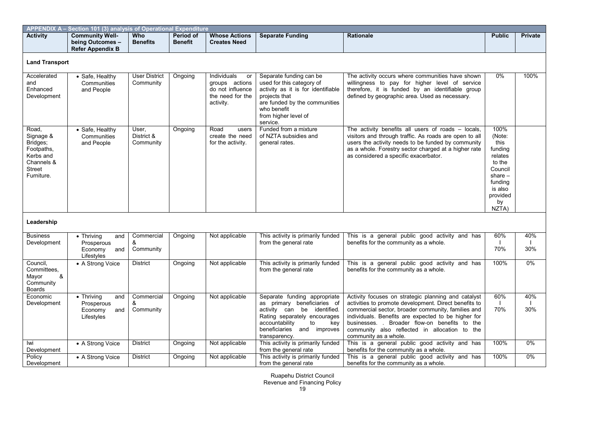| APPENDIX A - Section 101 (3) analysis of Operational Expenditure                                |                                                                         |                                   |                             |                                                                                          |                                                                                                                                                                                                          |                                                                                                                                                                                                                                                                                                                                                      |                                                                                                                                 |                |  |  |
|-------------------------------------------------------------------------------------------------|-------------------------------------------------------------------------|-----------------------------------|-----------------------------|------------------------------------------------------------------------------------------|----------------------------------------------------------------------------------------------------------------------------------------------------------------------------------------------------------|------------------------------------------------------------------------------------------------------------------------------------------------------------------------------------------------------------------------------------------------------------------------------------------------------------------------------------------------------|---------------------------------------------------------------------------------------------------------------------------------|----------------|--|--|
| <b>Activity</b>                                                                                 | <b>Community Well-</b><br>being Outcomes -<br><b>Refer Appendix B</b>   | <b>Who</b><br><b>Benefits</b>     | Period of<br><b>Benefit</b> | <b>Whose Actions</b><br><b>Creates Need</b>                                              | <b>Separate Funding</b>                                                                                                                                                                                  | <b>Rationale</b>                                                                                                                                                                                                                                                                                                                                     | <b>Public</b>                                                                                                                   | <b>Private</b> |  |  |
| <b>Land Transport</b>                                                                           |                                                                         |                                   |                             |                                                                                          |                                                                                                                                                                                                          |                                                                                                                                                                                                                                                                                                                                                      |                                                                                                                                 |                |  |  |
| Accelerated<br>and<br>Enhanced<br>Development                                                   | • Safe, Healthy<br>Communities<br>and People                            | <b>User District</b><br>Community | Ongoing                     | Individuals<br>or<br>groups actions<br>do not influence<br>the need for the<br>activity. | Separate funding can be<br>used for this category of<br>activity as it is for identifiable<br>projects that<br>are funded by the communities<br>who benefit<br>from higher level of<br>service.          | The activity occurs where communities have shown<br>willingness to pay for higher level of service<br>therefore, it is funded by an identifiable group<br>defined by geographic area. Used as necessary.                                                                                                                                             | 0%                                                                                                                              | 100%           |  |  |
| Road,<br>Signage &<br>Bridges;<br>Footpaths,<br>Kerbs and<br>Channels &<br>Street<br>Furniture. | • Safe, Healthy<br>Communities<br>and People                            | User,<br>District &<br>Community  | Ongoing                     | Road<br>users<br>create the need<br>for the activity.                                    | Funded from a mixture<br>of NZTA subsidies and<br>general rates.                                                                                                                                         | The activity benefits all users of roads - locals,<br>visitors and through traffic. As roads are open to all<br>users the activity needs to be funded by community<br>as a whole. Forestry sector charged at a higher rate<br>as considered a specific exacerbator.                                                                                  | 100%<br>(Note:<br>this<br>funding<br>relates<br>to the<br>Council<br>share $-$<br>funding<br>is also<br>provided<br>by<br>NZTA) |                |  |  |
| Leadership                                                                                      |                                                                         |                                   |                             |                                                                                          |                                                                                                                                                                                                          |                                                                                                                                                                                                                                                                                                                                                      |                                                                                                                                 |                |  |  |
| <b>Business</b><br>Development                                                                  | $\bullet$ Thriving<br>and<br>Prosperous<br>Economy<br>and<br>Lifestyles | Commercial<br>&<br>Community      | Ongoing                     | Not applicable                                                                           | This activity is primarily funded<br>from the general rate                                                                                                                                               | This is a general public good activity and has<br>benefits for the community as a whole.                                                                                                                                                                                                                                                             | 60%<br>70%                                                                                                                      | 40%<br>30%     |  |  |
| Council,<br>Committees,<br>&<br>Mayor<br>Community<br><b>Boards</b>                             | • A Strong Voice                                                        | <b>District</b>                   | Ongoing                     | Not applicable                                                                           | This activity is primarily funded<br>from the general rate                                                                                                                                               | This is a general public good activity and has<br>benefits for the community as a whole.                                                                                                                                                                                                                                                             | 100%                                                                                                                            | 0%             |  |  |
| Economic<br>Development                                                                         | $\bullet$ Thriving<br>and<br>Prosperous<br>Economy<br>and<br>Lifestyles | Commercial<br>&<br>Community      | Ongoing                     | Not applicable                                                                           | Separate funding appropriate<br>as primary beneficiaries of<br>activity can be identified.<br>Rating separately encourages<br>accountability<br>to<br>kev<br>beneficiaries and improves<br>transparency. | Activity focuses on strategic planning and catalyst<br>activities to promote development. Direct benefits to<br>commercial sector, broader community, families and<br>individuals. Benefits are expected to be higher for<br>businesses. . Broader flow-on benefits to the<br>community also reflected in allocation to the<br>community as a whole. | 60%<br>70%                                                                                                                      | 40%<br>30%     |  |  |
| lwi<br>Development                                                                              | • A Strong Voice                                                        | <b>District</b>                   | Ongoing                     | Not applicable                                                                           | This activity is primarily funded<br>from the general rate                                                                                                                                               | This is a general public good activity and has<br>benefits for the community as a whole.                                                                                                                                                                                                                                                             | 100%                                                                                                                            | 0%             |  |  |
| Policy<br>Development                                                                           | • A Strong Voice                                                        | <b>District</b>                   | Ongoing                     | Not applicable                                                                           | This activity is primarily funded<br>from the general rate                                                                                                                                               | This is a general public good activity and has<br>benefits for the community as a whole.                                                                                                                                                                                                                                                             | 100%                                                                                                                            | 0%             |  |  |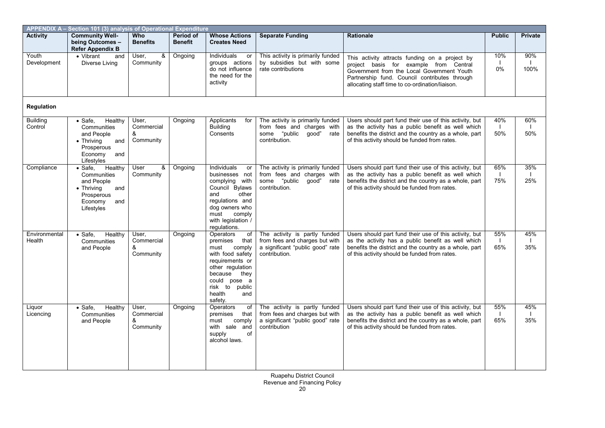| APPENDIX A - Section 101 (3) analysis of Operational Expenditure |                                                                                                                                    |                                       |                             |                                                                                                                                                                                                   |                                                                                                                      |                                                                                                                                                                                                                                            |               |                |  |  |
|------------------------------------------------------------------|------------------------------------------------------------------------------------------------------------------------------------|---------------------------------------|-----------------------------|---------------------------------------------------------------------------------------------------------------------------------------------------------------------------------------------------|----------------------------------------------------------------------------------------------------------------------|--------------------------------------------------------------------------------------------------------------------------------------------------------------------------------------------------------------------------------------------|---------------|----------------|--|--|
| <b>Activity</b>                                                  | <b>Community Well-</b><br>being Outcomes -<br><b>Refer Appendix B</b>                                                              | Who<br><b>Benefits</b>                | Period of<br><b>Benefit</b> | <b>Whose Actions</b><br><b>Creates Need</b>                                                                                                                                                       | <b>Separate Funding</b>                                                                                              | Rationale                                                                                                                                                                                                                                  | <b>Public</b> | <b>Private</b> |  |  |
| Youth<br>Development                                             | • Vibrant<br>and<br>Diverse Living                                                                                                 | $\infty$<br>User.<br>Community        | Ongoing                     | Individuals<br>or<br>groups actions<br>do not influence<br>the need for the<br>activity                                                                                                           | This activity is primarily funded<br>by subsidies but with some<br>rate contributions                                | This activity attracts funding on a project by<br>project basis for example from Central<br>Government from the Local Government Youth<br>Partnership fund. Council contributes through<br>allocating staff time to co-ordination/liaison. | 10%<br>0%     | 90%<br>100%    |  |  |
| Regulation                                                       |                                                                                                                                    |                                       |                             |                                                                                                                                                                                                   |                                                                                                                      |                                                                                                                                                                                                                                            |               |                |  |  |
| <b>Building</b><br>Control                                       | Healthy<br>$\bullet$ Safe,<br>Communities<br>and People<br>$\bullet$ Thriving<br>and<br>Prosperous<br>Economy<br>and<br>Lifestyles | User,<br>Commercial<br>&<br>Community | Ongoing                     | Applicants<br>for<br><b>Building</b><br>Consents                                                                                                                                                  | The activity is primarily funded<br>from fees and charges with<br>some "public<br>qood"<br>rate<br>contribution.     | Users should part fund their use of this activity, but<br>as the activity has a public benefit as well which<br>benefits the district and the country as a whole, part<br>of this activity should be funded from rates.                    | 40%<br>50%    | 60%<br>50%     |  |  |
| Compliance                                                       | $\bullet$ Safe,<br>Healthy<br>Communities<br>and People<br>$\bullet$ Thriving<br>and<br>Prosperous<br>Economy<br>and<br>Lifestyles | &<br>User<br>Community                | Ongoing                     | Individuals<br>or<br>businesses not<br>complying with<br>Council Bylaws<br>other<br>and<br>regulations and<br>dog owners who<br>comply<br>must<br>with legislation /<br>regulations.              | The activity is primarily funded<br>from fees and charges with<br>some<br>"public<br>qood"<br>rate<br>contribution.  | Users should part fund their use of this activity, but<br>as the activity has a public benefit as well which<br>benefits the district and the country as a whole, part<br>of this activity should be funded from rates.                    | 65%<br>75%    | 35%<br>25%     |  |  |
| Environmental<br>Health                                          | $\bullet$ Safe,<br>Healthy<br>Communities<br>and People                                                                            | User.<br>Commercial<br>&<br>Community | Ongoing                     | Operators<br>of<br>premises<br>that<br>must<br>comply<br>with food safety<br>requirements or<br>other regulation<br>because<br>they<br>could pose a<br>risk to public<br>health<br>and<br>safetv. | The activity is partly funded<br>from fees and charges but with<br>a significant "public good" rate<br>contribution. | Users should part fund their use of this activity, but<br>as the activity has a public benefit as well which<br>benefits the district and the country as a whole, part<br>of this activity should be funded from rates.                    | 55%<br>65%    | 45%<br>35%     |  |  |
| Liquor<br>Licencing                                              | Healthy<br>$\bullet$ Safe,<br>Communities<br>and People                                                                            | User,<br>Commercial<br>&<br>Community | Ongoing                     | Operators<br>of<br>premises<br>that<br>comply<br>must<br>with sale and<br>supply<br>of<br>alcohol laws.                                                                                           | The activity is partly funded<br>from fees and charges but with<br>a significant "public good" rate<br>contribution  | Users should part fund their use of this activity, but<br>as the activity has a public benefit as well which<br>benefits the district and the country as a whole, part<br>of this activity should be funded from rates.                    | 55%<br>65%    | 45%<br>35%     |  |  |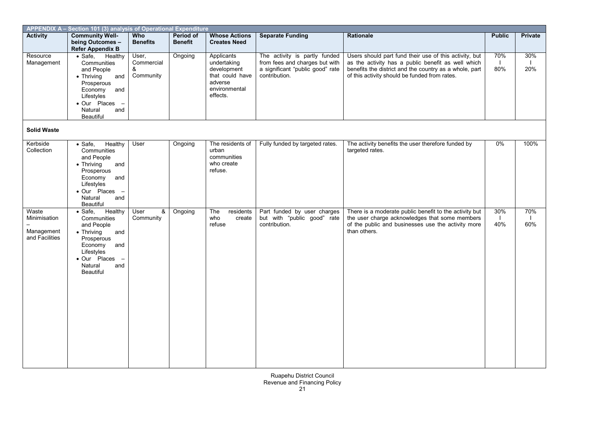| APPENDIX A - Section 101 (3) analysis of Operational Expenditure |                                                                                                                                                                                     |                                       |                             |                                                                                                     |                                                                                                                      |                                                                                                                                                                                                                         |               |                            |  |  |
|------------------------------------------------------------------|-------------------------------------------------------------------------------------------------------------------------------------------------------------------------------------|---------------------------------------|-----------------------------|-----------------------------------------------------------------------------------------------------|----------------------------------------------------------------------------------------------------------------------|-------------------------------------------------------------------------------------------------------------------------------------------------------------------------------------------------------------------------|---------------|----------------------------|--|--|
| <b>Activity</b>                                                  | <b>Community Well-</b><br>being Outcomes -<br><b>Refer Appendix B</b>                                                                                                               | Who<br><b>Benefits</b>                | Period of<br><b>Benefit</b> | <b>Whose Actions</b><br><b>Creates Need</b>                                                         | <b>Separate Funding</b>                                                                                              | Rationale                                                                                                                                                                                                               | <b>Public</b> | <b>Private</b>             |  |  |
| Resource<br>Management                                           | $\bullet$ Safe,<br>Healthy<br>Communities<br>and People<br>$\bullet$ Thriving<br>and<br>Prosperous<br>Economy<br>and<br>Lifestyles<br>• Our Places -<br>Natural<br>and<br>Beautiful | User,<br>Commercial<br>&<br>Community | Ongoing                     | Applicants<br>undertaking<br>development<br>that could have<br>adverse<br>environmental<br>effects. | The activity is partly funded<br>from fees and charges but with<br>a significant "public good" rate<br>contribution. | Users should part fund their use of this activity, but<br>as the activity has a public benefit as well which<br>benefits the district and the country as a whole, part<br>of this activity should be funded from rates. | 70%<br>80%    | 30%<br>$\mathbf{I}$<br>20% |  |  |
| <b>Solid Waste</b>                                               |                                                                                                                                                                                     |                                       |                             |                                                                                                     |                                                                                                                      |                                                                                                                                                                                                                         |               |                            |  |  |
| Kerbside<br>Collection                                           | $\bullet$ Safe,<br>Healthy<br>Communities<br>and People<br>$\bullet$ Thriving<br>and<br>Prosperous<br>Economy<br>and<br>Lifestyles<br>· Our Places -<br>Natural<br>and<br>Beautiful | User                                  | Ongoing                     | The residents of<br>urban<br>communities<br>who create<br>refuse.                                   | Fully funded by targeted rates.                                                                                      | The activity benefits the user therefore funded by<br>targeted rates.                                                                                                                                                   | 0%            | 100%                       |  |  |
| Waste<br>Minimisation<br>Management<br>and Facilities            | $\bullet$ Safe,<br>Healthy<br>Communities<br>and People<br>• Thriving<br>and<br>Prosperous<br>Economy<br>and<br>Lifestyles<br>· Our Places -<br>Natural<br>and<br><b>Beautiful</b>  | &<br>User<br>Community                | Ongoing                     | The<br>residents<br>who<br>create<br>refuse                                                         | Part funded by user charges<br>but with "public good" rate<br>contribution.                                          | There is a moderate public benefit to the activity but<br>the user charge acknowledges that some members<br>of the public and businesses use the activity more<br>than others.                                          | 30%<br>40%    | 70%<br>$\mathbf{I}$<br>60% |  |  |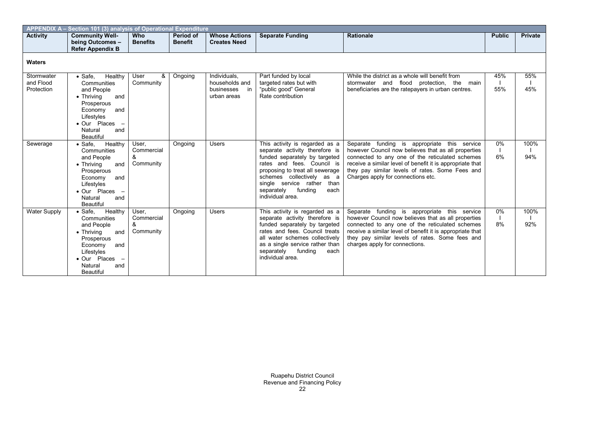| APPENDIX A - Section 101 (3) analysis of Operational Expenditure |                                                                                                                                                                                            |                                       |                             |                                                                   |                                                                                                                                                                                                                                                                                    |                                                                                                                                                                                                                                                                                                              |                             |             |  |  |  |  |
|------------------------------------------------------------------|--------------------------------------------------------------------------------------------------------------------------------------------------------------------------------------------|---------------------------------------|-----------------------------|-------------------------------------------------------------------|------------------------------------------------------------------------------------------------------------------------------------------------------------------------------------------------------------------------------------------------------------------------------------|--------------------------------------------------------------------------------------------------------------------------------------------------------------------------------------------------------------------------------------------------------------------------------------------------------------|-----------------------------|-------------|--|--|--|--|
| <b>Activity</b>                                                  | <b>Community Well-</b><br>being Outcomes -<br><b>Refer Appendix B</b>                                                                                                                      | <b>Who</b><br><b>Benefits</b>         | Period of<br><b>Benefit</b> | <b>Whose Actions</b><br><b>Creates Need</b>                       | <b>Separate Funding</b>                                                                                                                                                                                                                                                            | <b>Rationale</b>                                                                                                                                                                                                                                                                                             | <b>Public</b>               | Private     |  |  |  |  |
| <b>Waters</b>                                                    |                                                                                                                                                                                            |                                       |                             |                                                                   |                                                                                                                                                                                                                                                                                    |                                                                                                                                                                                                                                                                                                              |                             |             |  |  |  |  |
| Stormwater<br>and Flood<br>Protection                            | Healthy<br>$\bullet$ Safe.<br>Communities<br>and People<br>$\bullet$ Thriving<br>and<br>Prosperous<br>Economy<br>and<br>Lifestyles<br>• Our Places -<br>Natural<br>and<br><b>Beautiful</b> | User<br>&<br>Community                | Ongoing                     | Individuals.<br>households and<br>businesses<br>in<br>urban areas | Part funded by local<br>targeted rates but with<br>"public good" General<br>Rate contribution                                                                                                                                                                                      | While the district as a whole will benefit from<br>stormwater and flood protection, the main<br>beneficiaries are the ratepayers in urban centres.                                                                                                                                                           | 45%<br>55%                  | 55%<br>45%  |  |  |  |  |
| Sewerage                                                         | Healthy<br>$\bullet$ Safe,<br>Communities<br>and People<br>$\bullet$ Thriving<br>and<br>Prosperous<br>Economy<br>and<br>Lifestyles<br>• Our Places -<br>Natural<br>and<br><b>Beautiful</b> | User.<br>Commercial<br>&<br>Community | Ongoing                     | <b>Users</b>                                                      | This activity is regarded as a<br>separate activity therefore is<br>funded separately by targeted<br>rates and fees. Council is<br>proposing to treat all sewerage<br>schemes collectively as a<br>single service rather than<br>separately<br>funding<br>each<br>individual area. | Separate funding is appropriate this service<br>however Council now believes that as all properties<br>connected to any one of the reticulated schemes<br>receive a similar level of benefit it is appropriate that<br>they pay similar levels of rates. Some Fees and<br>Charges apply for connections etc. | $0\%$<br>$\mathbf{I}$<br>6% | 100%<br>94% |  |  |  |  |
| <b>Water Supply</b>                                              | Healthy<br>$\bullet$ Safe.<br>Communities<br>and People<br>$\bullet$ Thriving<br>and<br>Prosperous<br>Economy<br>and<br>Lifestyles<br>• Our Places -<br>Natural<br>and<br><b>Beautiful</b> | User,<br>Commercial<br>&<br>Community | Ongoing                     | <b>Users</b>                                                      | This activity is regarded as a<br>separate activity therefore is<br>funded separately by targeted<br>rates and fees. Council treats<br>all water schemes collectively<br>as a single service rather than<br>separately<br>funding<br>each<br>individual area.                      | Separate funding is appropriate<br>this service<br>however Council now believes that as all properties<br>connected to any one of the reticulated schemes<br>receive a similar level of benefit it is appropriate that<br>they pay similar levels of rates. Some fees and<br>charges apply for connections.  | 0%<br>$\mathbf{L}$<br>8%    | 100%<br>92% |  |  |  |  |